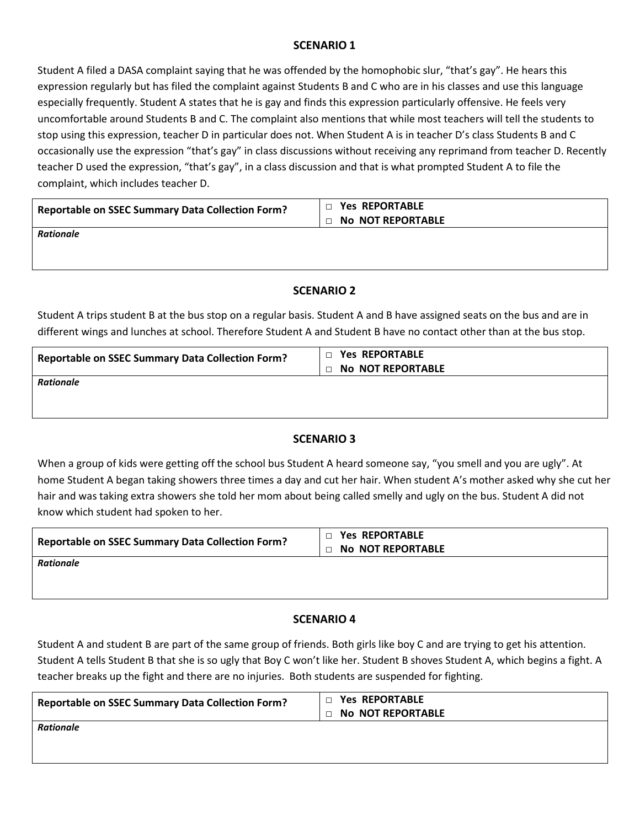# **SCENARIO 1**

Student A filed a DASA complaint saying that he was offended by the homophobic slur, "that's gay". He hears this expression regularly but has filed the complaint against Students B and C who are in his classes and use this language especially frequently. Student A states that he is gay and finds this expression particularly offensive. He feels very uncomfortable around Students B and C. The complaint also mentions that while most teachers will tell the students to stop using this expression, teacher D in particular does not. When Student A is in teacher D's class Students B and C occasionally use the expression "that's gay" in class discussions without receiving any reprimand from teacher D. Recently teacher D used the expression, "that's gay", in a class discussion and that is what prompted Student A to file the complaint, which includes teacher D.

| <b>Reportable on SSEC Summary Data Collection Form?</b> | <b>DE Yes REPORTABLE</b><br><b>D No NOT REPORTABLE</b> |
|---------------------------------------------------------|--------------------------------------------------------|
| Rationale                                               |                                                        |

# **SCENARIO 2**

Student A trips student B at the bus stop on a regular basis. Student A and B have assigned seats on the bus and are in different wings and lunches at school. Therefore Student A and Student B have no contact other than at the bus stop.

| <b>Reportable on SSEC Summary Data Collection Form?</b> | $\Box$ Yes REPORTABLE<br><b>D No NOT REPORTABLE</b> |
|---------------------------------------------------------|-----------------------------------------------------|
| Rationale                                               |                                                     |

# **SCENARIO 3**

When a group of kids were getting off the school bus Student A heard someone say, "you smell and you are ugly". At home Student A began taking showers three times a day and cut her hair. When student A's mother asked why she cut her hair and was taking extra showers she told her mom about being called smelly and ugly on the bus. Student A did not know which student had spoken to her.

| <b>Reportable on SSEC Summary Data Collection Form?</b> | $\Box$ Yes REPORTABLE<br><b>DE NO NOT REPORTABLE</b> |
|---------------------------------------------------------|------------------------------------------------------|
| Rationale                                               |                                                      |

# **SCENARIO 4**

Student A and student B are part of the same group of friends. Both girls like boy C and are trying to get his attention. Student A tells Student B that she is so ugly that Boy C won't like her. Student B shoves Student A, which begins a fight. A teacher breaks up the fight and there are no injuries. Both students are suspended for fighting.

| <b>Reportable on SSEC Summary Data Collection Form?</b> | <b>Yes REPORTABLE</b><br>$\Box$ |
|---------------------------------------------------------|---------------------------------|
|                                                         | <b>D No NOT REPORTABLE</b>      |
| <b>Rationale</b>                                        |                                 |
|                                                         |                                 |
|                                                         |                                 |